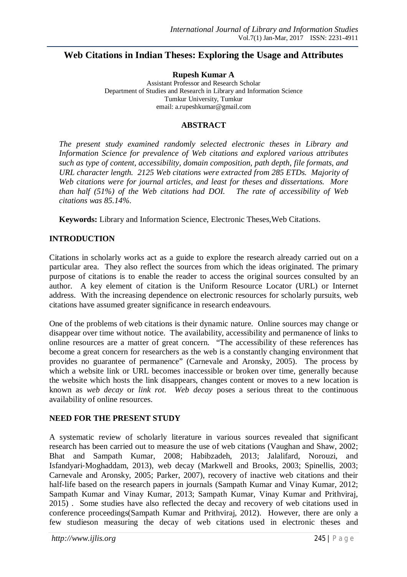# **Web Citations in Indian Theses: Exploring the Usage and Attributes**

**Rupesh Kumar A**

Assistant Professor and Research Scholar Department of Studies and Research in Library and Information Science Tumkur University, Tumkur email: a.rupeshkumar@gmail.com

### **ABSTRACT**

*The present study examined randomly selected electronic theses in Library and Information Science for prevalence of Web citations and explored various attributes such as type of content, accessibility, domain composition, path depth, file formats, and URL character length. 2125 Web citations were extracted from 285 ETDs. Majority of Web citations were for journal articles, and least for theses and dissertations. More than half (51%) of the Web citations had DOI. The rate of accessibility of Web citations was 85.14%.*

**Keywords:** Library and Information Science, Electronic Theses,Web Citations.

### **INTRODUCTION**

Citations in scholarly works act as a guide to explore the research already carried out on a particular area. They also reflect the sources from which the ideas originated. The primary purpose of citations is to enable the reader to access the original sources consulted by an author. A key element of citation is the Uniform Resource Locator (URL) or Internet address. With the increasing dependence on electronic resources for scholarly pursuits, web citations have assumed greater significance in research endeavours.

One of the problems of web citations is their dynamic nature. Online sources may change or disappear over time without notice. The availability, accessibility and permanence of links to online resources are a matter of great concern. "The accessibility of these references has become a great concern for researchers as the web is a constantly changing environment that provides no guarantee of permanence" (Carnevale and Aronsky, 2005). The process by which a website link or URL becomes inaccessible or broken over time, generally because the website which hosts the link disappears, changes content or moves to a new location is known as *web decay* or *link rot*. *Web decay* poses a serious threat to the continuous availability of online resources.

### **NEED FOR THE PRESENT STUDY**

A systematic review of scholarly literature in various sources revealed that significant research has been carried out to measure the use of web citations (Vaughan and Shaw, 2002; Bhat and Sampath Kumar, 2008; Habibzadeh, 2013; Jalalifard, Norouzi, and Isfandyari‐Moghaddam, 2013), web decay (Markwell and Brooks, 2003; Spinellis, 2003; Carnevale and Aronsky, 2005; Parker, 2007), recovery of inactive web citations and their half-life based on the research papers in journals (Sampath Kumar and Vinay Kumar, 2012; Sampath Kumar and Vinay Kumar, 2013; Sampath Kumar, Vinay Kumar and Prithviraj, 2015) . Some studies have also reflected the decay and recovery of web citations used in conference proceedings(Sampath Kumar and Prithviraj, 2012). However, there are only a few studieson measuring the decay of web citations used in electronic theses and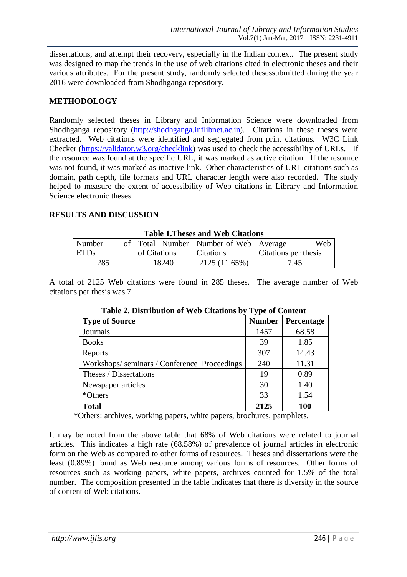dissertations, and attempt their recovery, especially in the Indian context. The present study was designed to map the trends in the use of web citations cited in electronic theses and their various attributes. For the present study, randomly selected thesessubmitted during the year 2016 were downloaded from Shodhganga repository.

### **METHODOLOGY**

Randomly selected theses in Library and Information Science were downloaded from Shodhganga repository (http://shodhganga.inflibnet.ac.in). Citations in these theses were extracted. Web citations were identified and segregated from print citations. W3C Link Checker (https://validator.w3.org/checklink) was used to check the accessibility of URLs. If the resource was found at the specific URL, it was marked as active citation. If the resource was not found, it was marked as inactive link. Other characteristics of URL citations such as domain, path depth, file formats and URL character length were also recorded. The study helped to measure the extent of accessibility of Web citations in Library and Information Science electronic theses.

### **RESULTS AND DISCUSSION**

| Table 1.1 heses and <i>web</i> Chambits |  |              |                                             |                      |  |
|-----------------------------------------|--|--------------|---------------------------------------------|----------------------|--|
| Number                                  |  |              | of   Total Number   Number of Web   Average | Web                  |  |
| ETDs                                    |  | of Citations | <b>Citations</b>                            | Citations per thesis |  |
| 285                                     |  | 18240        | 2125 (11.65%)                               | 7.45                 |  |

**Table 1.Theses and Web Citations**

A total of 2125 Web citations were found in 285 theses. The average number of Web citations per thesis was 7.

| Table 2. Distribution of <i>WCD</i> Creations by<br><b>Tipe of Content</b> |               |                   |  |
|----------------------------------------------------------------------------|---------------|-------------------|--|
| <b>Type of Source</b>                                                      | <b>Number</b> | <b>Percentage</b> |  |
| Journals                                                                   | 1457          | 68.58             |  |
| <b>Books</b>                                                               | 39            | 1.85              |  |
| Reports                                                                    | 307           | 14.43             |  |
| Workshops/seminars/Conference Proceedings                                  | 240           | 11.31             |  |
| Theses / Dissertations                                                     | 19            | 0.89              |  |
| Newspaper articles                                                         | 30            | 1.40              |  |
| *Others                                                                    | 33            | 1.54              |  |
| <b>Total</b>                                                               | 2125          | 100               |  |

**Table 2. Distribution of Web Citations by Type of Content**

\*Others: archives, working papers, white papers, brochures, pamphlets.

It may be noted from the above table that 68% of Web citations were related to journal articles. This indicates a high rate (68.58%) of prevalence of journal articles in electronic form on the Web as compared to other forms of resources. Theses and dissertations were the least (0.89%) found as Web resource among various forms of resources. Other forms of resources such as working papers, white papers, archives counted for 1.5% of the total number. The composition presented in the table indicates that there is diversity in the source of content of Web citations.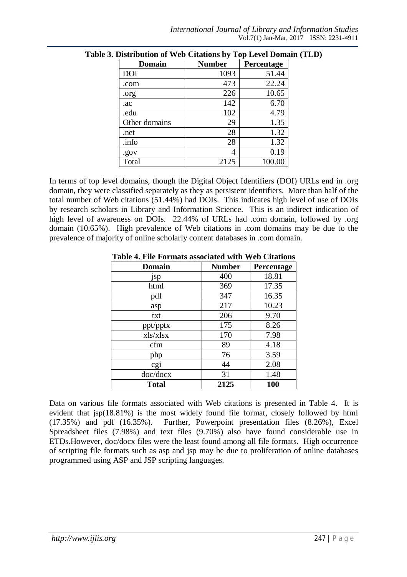| <b>Domain</b> | <b>Number</b> | Percentage |
|---------------|---------------|------------|
| DOI           | 1093          | 51.44      |
| .com          | 473           | 22.24      |
| .org          | 226           | 10.65      |
| .ac           | 142           | 6.70       |
| .edu          | 102           | 4.79       |
| Other domains | 29            | 1.35       |
| .net          | 28            | 1.32       |
| .info         | 28            | 1.32       |
| .gov          | 4             | 0.19       |
| Total         | 2125          | 100.00     |

In terms of top level domains, though the Digital Object Identifiers (DOI) URLs end in .org domain, they were classified separately as they as persistent identifiers. More than half of the total number of Web citations (51.44%) had DOIs. This indicates high level of use of DOIs by research scholars in Library and Information Science. This is an indirect indication of high level of awareness on DOIs. 22.44% of URLs had .com domain, followed by .org domain (10.65%). High prevalence of Web citations in .com domains may be due to the prevalence of majority of online scholarly content databases in .com domain.

| <b>Domain</b> | <b>Number</b> | Percentage |
|---------------|---------------|------------|
| jsp           | 400           | 18.81      |
| html          | 369           | 17.35      |
| pdf           | 347           | 16.35      |
| asp           | 217           | 10.23      |
| txt           | 206           | 9.70       |
| ppt/pptx      | 175           | 8.26       |
| xls/xlsx      | 170           | 7.98       |
| cfm           | 89            | 4.18       |
| php           | 76            | 3.59       |
| cgi           | 44            | 2.08       |
| doc/docx      | 31            | 1.48       |
| <b>Total</b>  | 2125          | 100        |

**Table 4. File Formats associated with Web Citations**

Data on various file formats associated with Web citations is presented in Table 4. It is evident that jsp(18.81%) is the most widely found file format, closely followed by html (17.35%) and pdf (16.35%). Further, Powerpoint presentation files (8.26%), Excel Spreadsheet files (7.98%) and text files (9.70%) also have found considerable use in ETDs.However, doc/docx files were the least found among all file formats. High occurrence of scripting file formats such as asp and jsp may be due to proliferation of online databases programmed using ASP and JSP scripting languages.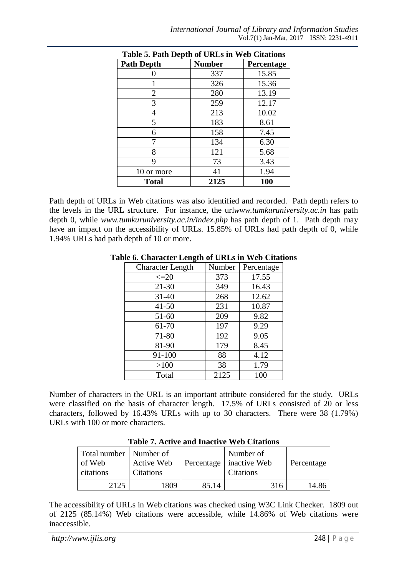| Table 5. Path Depth of URLS in Web Citations |               |            |  |  |
|----------------------------------------------|---------------|------------|--|--|
| <b>Path Depth</b>                            | <b>Number</b> | Percentage |  |  |
|                                              | 337           | 15.85      |  |  |
|                                              | 326           | 15.36      |  |  |
| 2                                            | 280           | 13.19      |  |  |
| 3                                            | 259           | 12.17      |  |  |
| 4                                            | 213           | 10.02      |  |  |
| 5                                            | 183           | 8.61       |  |  |
| 6                                            | 158           | 7.45       |  |  |
|                                              | 134           | 6.30       |  |  |
| 8                                            | 121           | 5.68       |  |  |
| 9                                            | 73            | 3.43       |  |  |
| 10 or more                                   | 41            | 1.94       |  |  |
| <b>Total</b>                                 | 2125          | 100        |  |  |

**Table 5. Path Depth of URLs in Web Citations**

Path depth of URLs in Web citations was also identified and recorded. Path depth refers to the levels in the URL structure. For instance, the url*www.tumkuruniversity.ac.in* has path depth 0, while *www.tumkuruniversity.ac.in/index.php* has path depth of 1. Path depth may have an impact on the accessibility of URLs. 15.85% of URLs had path depth of 0, while 1.94% URLs had path depth of 10 or more.

| <b>Character Length</b> | Number | Percentage |  |
|-------------------------|--------|------------|--|
| $\leq=20$               | 373    | 17.55      |  |
| $21 - 30$               | 349    | 16.43      |  |
| $31 - 40$               | 268    | 12.62      |  |
| $41 - 50$               | 231    | 10.87      |  |
| $51 - 60$               | 209    | 9.82       |  |
| 61-70                   | 197    | 9.29       |  |
| 71-80                   | 192    | 9.05       |  |
| 81-90                   | 179    | 8.45       |  |
| 91-100                  | 88     | 4.12       |  |
| >100                    | 38     | 1.79       |  |
| Total                   | 2125   | 100        |  |

#### **Table 6. Character Length of URLs in Web Citations**

Number of characters in the URL is an important attribute considered for the study. URLs were classified on the basis of character length. 17.5% of URLs consisted of 20 or less characters, followed by 16.43% URLs with up to 30 characters. There were 38 (1.79%) URLs with 100 or more characters.

| Total number   Number of<br>of Web<br>citations | Active Web<br><b>Citations</b> | Percentage | Number of<br>inactive Web<br><b>Citations</b> | Percentage |  |
|-------------------------------------------------|--------------------------------|------------|-----------------------------------------------|------------|--|
| 2125                                            | 1809                           | 85.14      | 316                                           | 14.86      |  |

**Table 7. Active and Inactive Web Citations**

The accessibility of URLs in Web citations was checked using W3C Link Checker. 1809 out of 2125 (85.14%) Web citations were accessible, while 14.86% of Web citations were inaccessible.